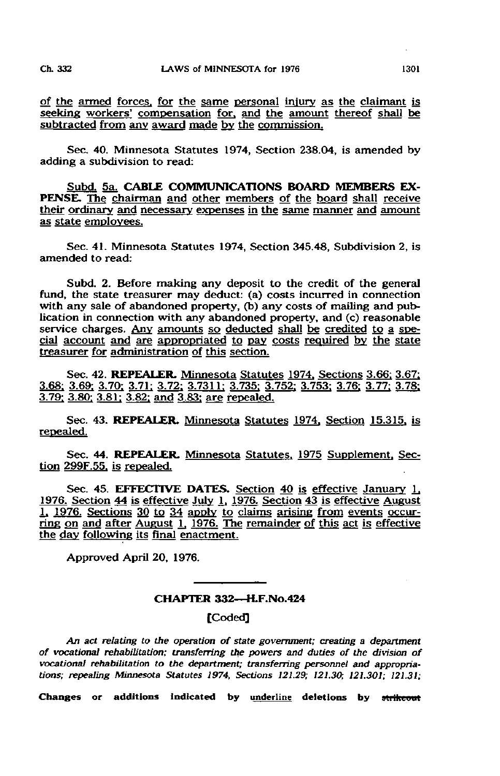of the armed forces, for the same personal injury as the claimant is seeking workers' compensation for, and the amount thereof shall be subtracted from any award made by the commission.

Sec. 40. Minnesota Statutes 1974, Section 238.04, is amended by adding a subdivision to read:

Subd. 5a. CABLE COMMUNICATIONS BOARD MEMBERS EX-PENSE. The chairman and other members of the board shall receive their ordinary and necessary expenses in the same manner and amount as state employees.

Sec. 41. Minnesota Statutes 1974, Section 345.48, Subdivision 2, is amended to read:

Subd. 2. Before making any deposit to the credit of the general fund, the state treasurer may deduct: (a) costs incurred in connection with any sale of abandoned property, (b) any costs of mailing and publication in connection with any abandoned property, and (c) reasonable service charges. Any amounts so deducted shall be credited to a special account and are appropriated to pay costs required by the state treasurer for administration of this section.

Sec. 42. REPEALER. Minnesota Statutes 1974. Sections 3.66: 3.67: 3.68: 3.69: 3.70: 3.71: 3.72: 3.7311: 3.735: 3.752: 3.753: 3.76: 3.77: 3.78: 3.79: 3.80: 3.81: 3.82: and 3.83: are repealed.

Sec. 43. REPEALER. Minnesota Statutes 1974. Section 15.315. is repealed.

Sec. 44. REPEALER. Minnesota Statutes, 1975 Supplement, Section 299F,55. is repealed.

Sec. 45. EFFECTIVE DATES. Section 40 is effective January 1, 1976. Section 44 is effective July 1, 1976. Section 43 is effective August 1, 1976. Sections 30 to 34 apply to claims arising from events occurring on and after August 1, 1976. The remainder of this act is effective the day following its final enactment.

Approved April 20, 1976.

## CHAPTER 332—H.F.No.424

## [Coded]

An act relating to the operation of state government; creating a department of vocational rehabilitation; transferring the powers and duties of the division of vocational rehabilitation to the department; transferring personnel and appropriations; repealing Minnesota Statutes 1974, Sections 121.29; 121.30; 121.301; 121.31;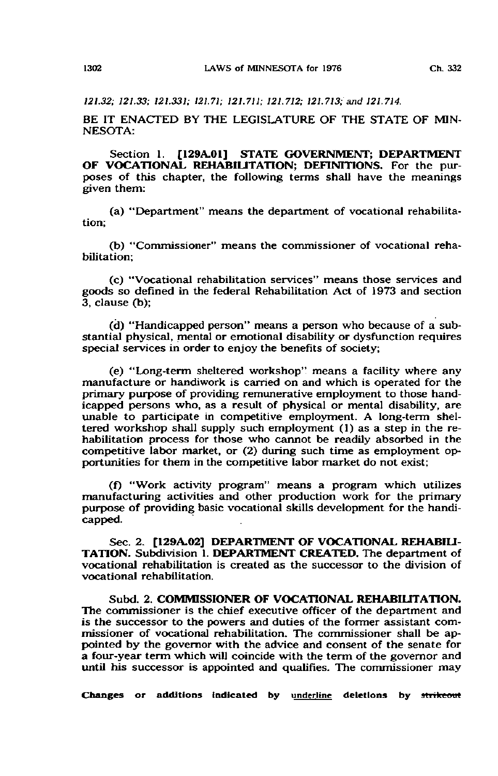121.32; 121.33; 121.331; 121.71; 121.71S; 121.712; 121.713; and 121.714.

BE IT ENACTED BY THE LEGISLATURE OF THE STATE OF MIN-NESOTA:

Section 1. [129A.01] STATE GOVERNMENT; DEPARTMENT OF VOCATIONAL REHABILITATION; DEFINITIONS. For the purposes of this chapter, the following terms shall have the meanings given them:

(a) "Department" means the department of vocational rehabilitation;

(b) "Commissioner" means the commissioner of vocational rehabilitation;

(c) "Vocational rehabilitation services" means those services and goods so defined in the federal Rehabilitation Act of 1973 and section 3, clause (b);

(d) "Handicapped person" means a person who because of a substantial physical, mental or emotional disability or dysfunction requires special services in order to enjoy the benefits of society;

(e) "Long-term sheltered workshop" means a facility where any manufacture or handiwork is carried on and which is operated for the primary purpose of providing remunerative employment to those handicapped persons who, as a result of physical or mental disability, are unable to participate in competitive employment. A long-term sheltered workshop shall supply such employment (1) as a step in the rehabilitation process for those who cannot be readily absorbed in the competitive labor market, or (2) during such time as employment opportunities for them in the competitive labor market do not exist;

(f) "Work activity program" means a program which utilizes manufacturing activities and other production work for the primary purpose of providing basic vocational skills development for the handicapped.

Sec. 2. [129A.02] DEPARTMENT OF VOCATIONAL REHABILI-TATION. Subdivision 1. DEPARTMENT CREATED. The department of vocational rehabilitation is created as the successor to the division of vocational rehabilitation.

Subd. 2. COMMISSIONER OF VOCATIONAL REHABILITATION. The commissioner is the chief executive officer of the department and is the successor to the powers and duties of the former assistant commissioner of vocational rehabilitation. The commissioner shall be appointed by the governor with the advice and consent of the senate for a four-year term which will coincide with the term of the governor and until his successor is appointed and qualifies. The commissioner may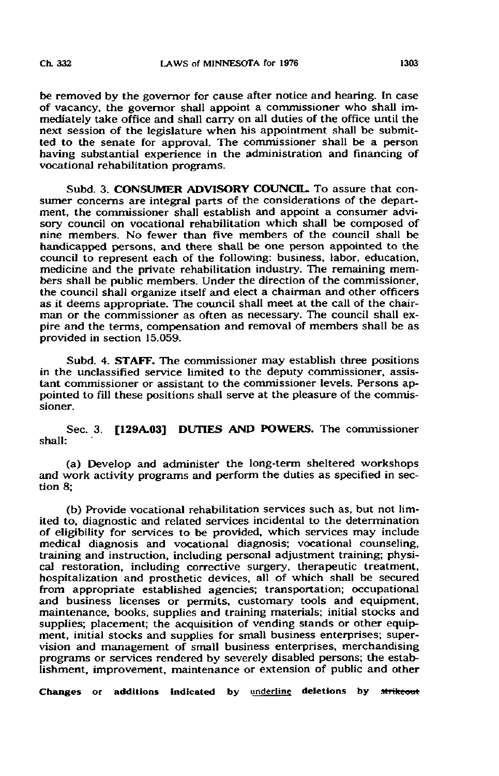be removed by the governor for cause after notice and hearing. In case of vacancy, the governor shall appoint a commissioner who shall immediately take office and shall carry on all duties of the office until the next session of the legislature when his appointment shall be submitted to the senate for approval. The commissioner shall be a person having substantial experience in the administration and financing of vocational rehabilitation programs.

Subd. 3. CONSUMER ADVISORY COUNCIL. To assure that consumer concerns are integral parts of the considerations of the department, the commissioner shall establish and appoint a consumer advisory council on vocational rehabilitation which shall be composed of nine members. No fewer than five members of the council shall be handicapped persons, and there shall be one person appointed to the council to represent each of the following: business, labor, education, medicine and the private rehabilitation industry. The remaining members shall be public members. Under the direction of the commissioner, the council shall organize itself and elect a chairman and other officers as it deems appropriate. The council shall meet at the call of the chairman or the commissioner as often as necessary. The council shall expire and the terms, compensation and removal of members shall be as provided in section 15.059.

Subd. 4. STAFF. The commissioner may establish three positions in the unclassified service limited to the deputy commissioner, assistant commissioner or assistant to the commissioner levels. Persons appointed to fill these positions shall serve at the pleasure of the commissioner.

Sec. 3. [129A.03] DUTIES AND POWERS. The commissioner shall:

(a) Develop and administer the long-term sheltered workshops and work activity programs and perform the duties as specified in section 8;

(b) Provide vocational rehabilitation services such as, but not limited to, diagnostic and related services incidental to the determination of eligibility for services to be provided, which services may include medical diagnosis and vocational diagnosis; vocational counseling, training and instruction, including personal adjustment training; physical restoration, including corrective surgery, therapeutic treatment, hospitalization and prosthetic devices, all of which shall be secured from appropriate established agencies; transportation; occupational and business licenses or permits, customary tools and equipment, maintenance, books, supplies and training materials; initial stocks and supplies; placement; the acquisition of vending stands or other equipment, initial stocks and supplies for small business enterprises; supervision and management of small business enterprises, merchandising programs or services rendered by severely disabled persons; the establishment, improvement, maintenance or extension of public and other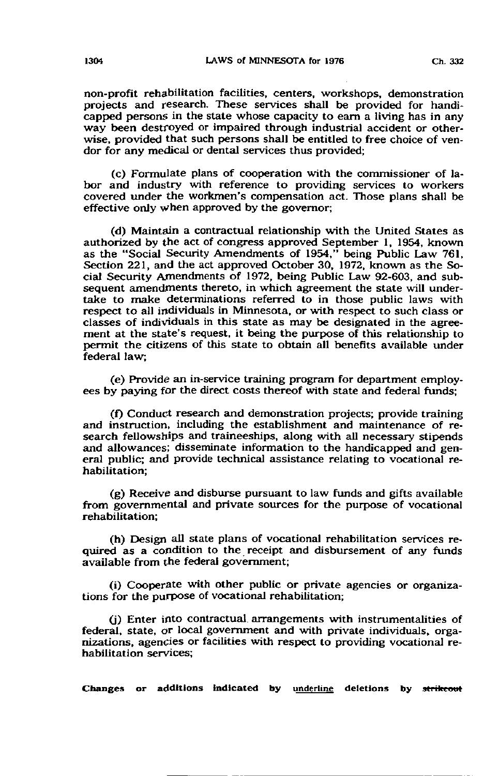non-profit rehabilitation facilities, centers, workshops, demonstration projects and research. These services shall be provided for handicapped persons in the state whose capacity to earn a living has in any way been destroyed or impaired through industrial accident or otherwise, provided that such persons shall be entitled to free choice of vendor for any medical or dental services thus provided;

(c) Formulate plans of cooperation with the commissioner of labor and industry with reference to providing services to workers covered under the workmen's compensation act. Those plans shall be effective only when approved by the governor;

(d) Maintain a contractual relationship with the United States as authorized by the act of congress approved September 1, 1954, known as the "Social Security Amendments of 1954," being Public Law 761, Section 221, and the act approved October 30, 1972, known as the Social Security Amendments of 1972, being Public Law 92-603, and subsequent amendments thereto, in which agreement the state will undertake to make determinations referred to in those public laws with respect to all individuals in Minnesota, or with respect to such class or classes of individuals in this state as may be designated in the agreement at the state's request, it being the purpose of this relationship to permit the citizens of this state to obtain all benefits available under federal law;

(e) Provide an in-service training program for department employees by paying for the direct costs thereof with state and federal funds;

(f) Conduct research and demonstration projects; provide training and instruction, including the establishment and maintenance of research fellowships and traineeships, along with all necessary stipends and allowances; disseminate information to the handicapped and general public; and provide technical assistance relating to vocational rehabilitation;

(g) Receive and disburse pursuant to law funds and gifts available from governmental and private sources for the purpose of vocational rehabilitation;

(h) Design all state plans of vocational rehabilitation services required as a condition to the receipt and disbursement of any funds available from the federal government;

(i) Cooperate with other public or private agencies or organizations for the purpose of vocational rehabilitation;

0) Enter into contractual, arrangements with instrumentalities of federal, state, or local government and with private individuals, organizations, agencies or facilities with respect to providing vocational rehabilitation services;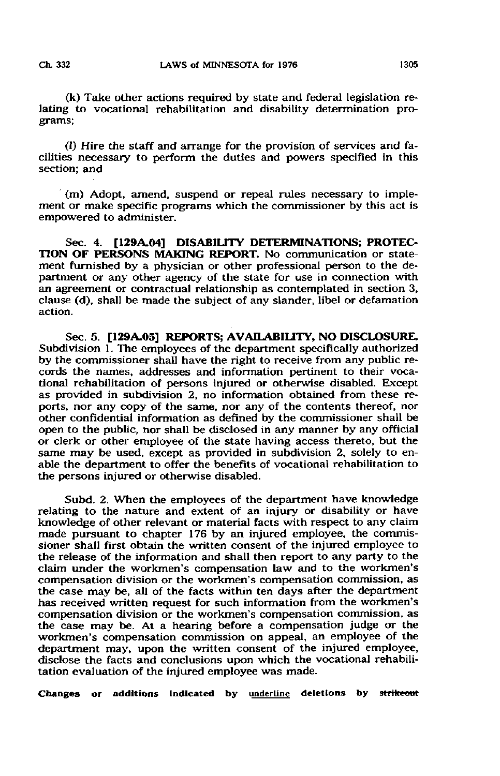(k) Take other actions required by state and federal legislation relating to vocational rehabilitation and disability determination programs;

(1) Hire the staff and arrange for the provision of services and facilities necessary to perform the duties and powers specified in this section; and

(m) Adopt, amend, suspend or repeal rules necessary to implement or make specific programs which the commissioner by this act is empowered to administer.

Sec. 4. [129A.04] DISABILITY DETERMINATIONS; PROTEC-TION OF PERSONS MAKING REPORT. No communication or statement furnished by a physician or other professional person to the department or any other agency of the state for use in connection with an agreement or contractual relationship as contemplated in section 3, clause (d), shall be made the subject of any slander, libel or defamation action.

Sec. 5. [129A.05] REPORTS; AVAILABILITY, NO DISCLOSURE. Subdivision 1. The employees of the department specifically authorized by the commissioner shall have the right to receive from any public records the names, addresses and information pertinent to their vocational rehabilitation of persons injured or otherwise disabled. Except as provided in subdivision 2, no information obtained from these reports, nor any copy of the same, nor any of the contents thereof, nor other confidential information as defined by the commissioner shall be open to the public, nor shall be disclosed in any manner by any official or clerk or other employee of the state having access thereto, but the same may be used, except as provided in subdivision 2, solely to enable the department to offer the benefits of vocational rehabilitation to the persons injured or otherwise disabled.

Subd. 2. When the employees of the department have knowledge relating to the nature and extent of an injury or disability or have knowledge of other relevant or material facts with respect to any claim made pursuant to chapter 176 by an injured employee, the commissioner shall first obtain the written consent of the injured employee to the release of the information and shall then report to any party to the claim under the workmen's compensation law and to the workmen's compensation division or the workmen's compensation commission, as the case may be, all of the facts within ten days after the department has received written request for such information from the workmen's compensation division or the workmen's compensation commission, as the case may be. At a hearing before a compensation judge or the workmen's compensation commission on appeal, an employee of the department may, upon the written consent of the injured employee, disclose the facts and conclusions upon which the vocational rehabilitation evaluation of the injured employee was made.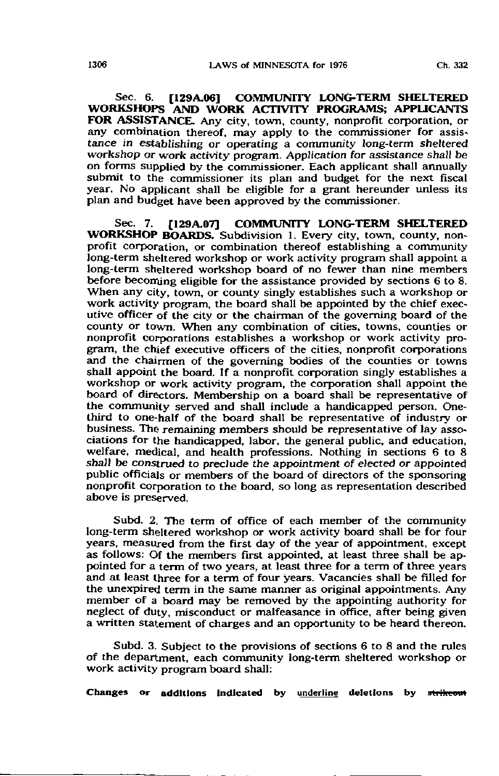Sec. 6. [129A.06] COMMUNITY LONG-TERM SHELTERED WORKSHOPS AND WORK ACTIVITY PROGRAMS; APPLICANTS FOR ASSISTANCE. Any city, town, county, nonprofit corporation, or any combination thereof, may apply to the commissioner for assistance in establishing or operating a community long-term sheltered workshop or work activity program. Application for assistance shall be on forms supplied by the commissioner. Each applicant shall annually submit to the commissioner its plan and budget for the next fiscal year. No applicant shall be eligible for a grant hereunder unless its plan and budget have been approved by the commissioner.

Sec. 7. [129A.07] COMMUNITY LONG-TERM SHELTERED WORKSHOP BOARDS. Subdivision 1. Every city, town, county, nonprofit corporation, or combination thereof establishing a community long-term sheltered workshop or work activity program shall appoint a long-term sheltered workshop board of no fewer than nine members before becoming eligible for the assistance provided by sections 6 to 8. When any city, town, or county singly establishes such a workshop or work activity program, the board shall be appointed by the chief executive officer of the city or the chairman of the governing board of the county or town. When any combination of cities, towns, counties or nonprofit corporations establishes a workshop or work activity program, the chief executive officers of the cities, nonprofit corporations and the chairmen of the governing bodies of the counties or towns shall appoint the board. If a nonprofit corporation singly establishes a workshop or work activity program, the corporation shall appoint the board of directors. Membership on a board shall be representative of the community served and shall include a handicapped person. Onethird to one-half of the board shall be representative of industry or business. The remaining members should be representative of lay associations for the handicapped, labor, the general public, and education, welfare, medical, and health professions. Nothing in sections 6 to 8 shall be construed to preclude the appointment of elected or appointed public officials or members of the board of directors of the sponsoring nonprofit corporation to the board, so long as representation described above is preserved.

Subd. 2, The term of office of each member of the community long-term sheltered workshop or work activity board shall be for four years, measured from the first day of the year of appointment, except as follows: Of the members first appointed, at least three shall be appointed for a term of two years, at least three for a term of three years and at least three for a term of four years. Vacancies shall be filled for the unexpired term in the same manner as original appointments. Any member of a board may be removed by the appointing authority for neglect of duty, misconduct or malfeasance in office, after being given a written statement of charges and an opportunity to be heard thereon.

Subd. 3. Subject to the provisions of sections 6 to 8 and the rules of the department, each community long-term sheltered workshop or work activity program board shall: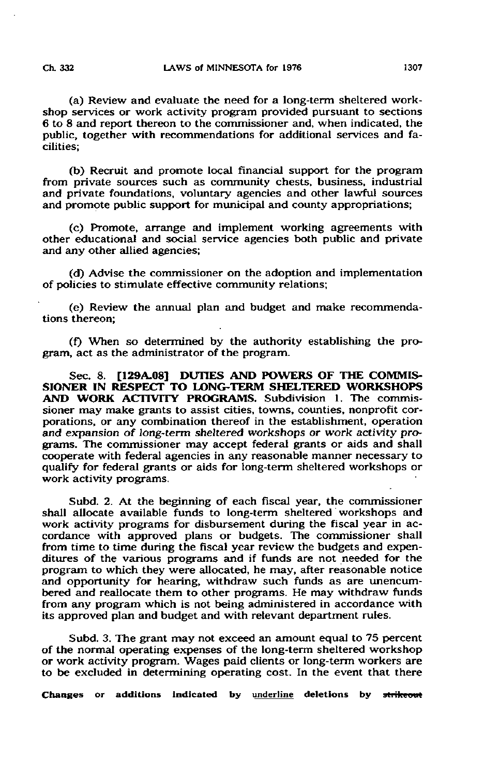(a) Review and evaluate the need for a long-term sheltered workshop services or work activity program provided pursuant to sections 6 to 8 and report thereon to the commissioner and, when indicated, the public, together with recommendations for additional services and facilities;

(b) Recruit and promote local financial support for the program from private sources such as community chests, business, industrial and private foundations, voluntary agencies and other lawful sources and promote public support for municipal and county appropriations;

(c) Promote, arrange and implement working agreements with other educational and social service agencies both public and private and any other allied agencies;

(d) Advise the commissioner on the adoption and implementation of policies to stimulate effective community relations;

(e) Review the annual plan and budget and make recommendations thereon;

(f) When so determined by the authority establishing the program, act as the administrator of the program.

Sec. 8. [129A.08] DUTIES AND POWERS OF THE COMMIS-SIONER IN RESPECT TO LONG-TERM SHELTERED WORKSHOPS AND WORK ACTIVITY PROGRAMS. Subdivision 1. The commissioner may make grants to assist cities, towns, counties, nonprofit corporations, or any combination thereof in the establishment, operation and expansion of long-term sheltered workshops or work activity programs. The commissioner may accept federal grants or aids and shall cooperate with federal agencies in any reasonable manner necessary to qualify for federal grants or aids for long-term sheltered workshops or work activity programs.

Subd. 2. At the beginning of each fiscal year, the commissioner shall allocate available funds to long-term sheltered workshops and work activity programs for disbursement during the fiscal year in accordance with approved plans or budgets. The commissioner shall from time to time during the fiscal year review the budgets and expenditures of the various programs and if funds are not needed for the program to which they were allocated, he may, after reasonable notice and opportunity for hearing, withdraw such funds as are unencumbered and reallocate them to other programs. He may withdraw funds from any program which is not being administered in accordance with its approved plan and budget and with relevant department rules.

Subd. 3. The grant may not exceed an amount equal to 75 percent of the normal operating expenses of the long-term sheltered workshop or work activity program. Wages paid clients or long-term workers are to be excluded in determining operating cost. In the event that there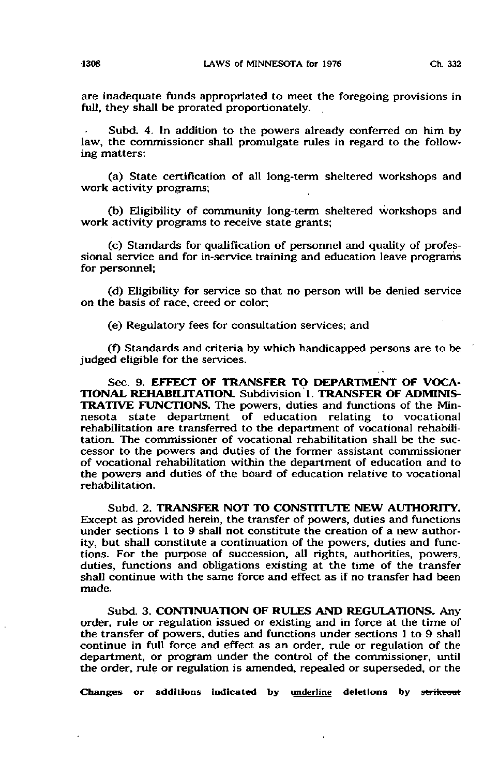are inadequate funds appropriated to meet the foregoing provisions in full, they shall be prorated proportionately.

Subd. 4. In addition to the powers already conferred on him by law, the commissioner shall promulgate rules in regard to the following matters:

(a) State certification of all long-term sheltered workshops and work activity programs;

(b) Eligibility of community long-term sheltered workshops and work activity programs to receive state grants;

(c) Standards for qualification of personnel and quality of professional service and for in-service training and education leave programs for personnel;

(d) Eligibility for service so that no person will be denied service on the basis of race, creed or color;

(e) Regulatory fees for consultation services; and

(f) Standards and criteria by which handicapped persons are to be judged eligible for the services.

Sec. 9. EFFECT OF TRANSFER TO DEPARTMENT OF VOCA-TIONAL REHABILITATION. Subdivision 1. TRANSFER OF ADMINIS-TRATIVE FUNCTIONS. The powers, duties and functions of the Minnesota state department of education relating to vocational rehabilitation are transferred to the department of vocational rehabilitation. The commissioner of vocational rehabilitation shall be the successor to the powers and duties of the former assistant commissioner of vocational rehabilitation within the department of education and to the powers and duties of the board of education relative to vocational rehabilitation.

Subd. 2. TRANSFER NOT TO CONSTITUTE NEW AUTHORITY. Except as provided herein, the transfer of powers, duties and functions under sections 1 to 9 shall not constitute the creation of a new authority, but shall constitute a continuation of the powers, duties and functions. For the purpose of succession, all rights, authorities, powers, duties, functions and obligations existing at the time of the transfer shall continue with the same force and effect as if no transfer had been made.

Subd. 3. CONTINUATION OF RULES AND REGULATIONS. Any order, rule or regulation issued or existing and in force at the time of the transfer of powers, duties and functions under sections 1 to 9 shall continue in full force and effect as an order, rule or regulation of the department, or program under the control of the commissioner, until the order, rule or regulation is amended, repealed or superseded, or the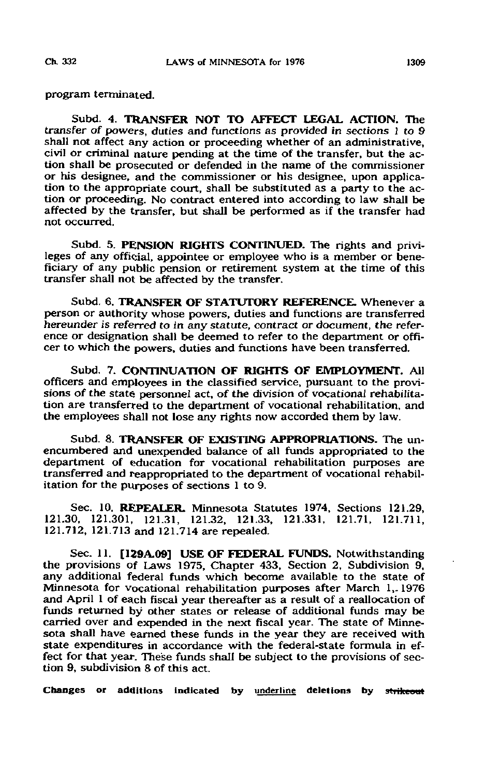program terminated.

Subd. 4. TRANSFER NOT TO AFFECT LEGAL ACTION. The transfer of powers, duties and functions as provided in sections J to 9 shall not affect any action or proceeding whether of an administrative, civil or criminal nature pending at the time of the transfer, but the action shall be prosecuted or defended in the name of the commissioner or his designee, and the commissioner or his designee, upon application to the appropriate court, shall be substituted as a party to the action or proceeding. No contract entered into according to law shall be affected by the transfer, but shall be performed as if the transfer had not occurred.

Subd. 5. PENSION RIGHTS CONTINUED. The rights and privileges of any official, appointee or employee who is a member or beneficiary of any public pension or retirement system at the time of this transfer shall not be affected by the transfer.

Subd. 6. TRANSFER OF STATUTORY REFERENCE. Whenever a person or authority whose powers, duties and functions are transferred hereunder is referred to in any statute, contract or document, the reference or designation shall be deemed to refer to the department or officer to which the powers, duties and functions have been transferred.

Subd. 7. CONTINUATION OF RIGHTS OF EMPLOYMENT. All officers and employees in the classified service, pursuant to the provisions of the state personnel act, of the division of vocational rehabilitation are transferred to the department of vocational rehabilitation, and the employees shall not lose any rights now accorded them by law.

Subd. 8. TRANSFER OF EXISTING APPROPRIATIONS. The unencumbered and unexpended balance of all funds appropriated to the department of education for vocational rehabilitation purposes are transferred and reappropriated to the department of vocational rehabilitation for the purposes of sections 1 to 9.

Sec. 10. REPEALER. Minnesota Statutes 1974, Sections 121.29, 121.30, 121.301, 121.31, 121.32, 121.33, 121.331, 121.71, 121.711, 121.712, 121.713 and 121.714 are repealed.

Sec. 11. [129A.09] USE OF FEDERAL FUNDS. Notwithsta the provisions of Laws 1975, Chapter 433, Section 2, Subdivision 9, any additional federal funds which become available to the state of Minnesota for vocational rehabilitation purposes after March 1,, 1976 and April 1 of each fiscal year thereafter as a result of a reallocation of funds returned by other states or release of additional funds may be carried over and expended in the next fiscal year. The state of Minnesota shall have earned these funds in the year they are received with state expenditures in accordance with the federal-state formula in effect for that year. These funds shall be subject to the provisions of section 9, subdivision 8 of this act.